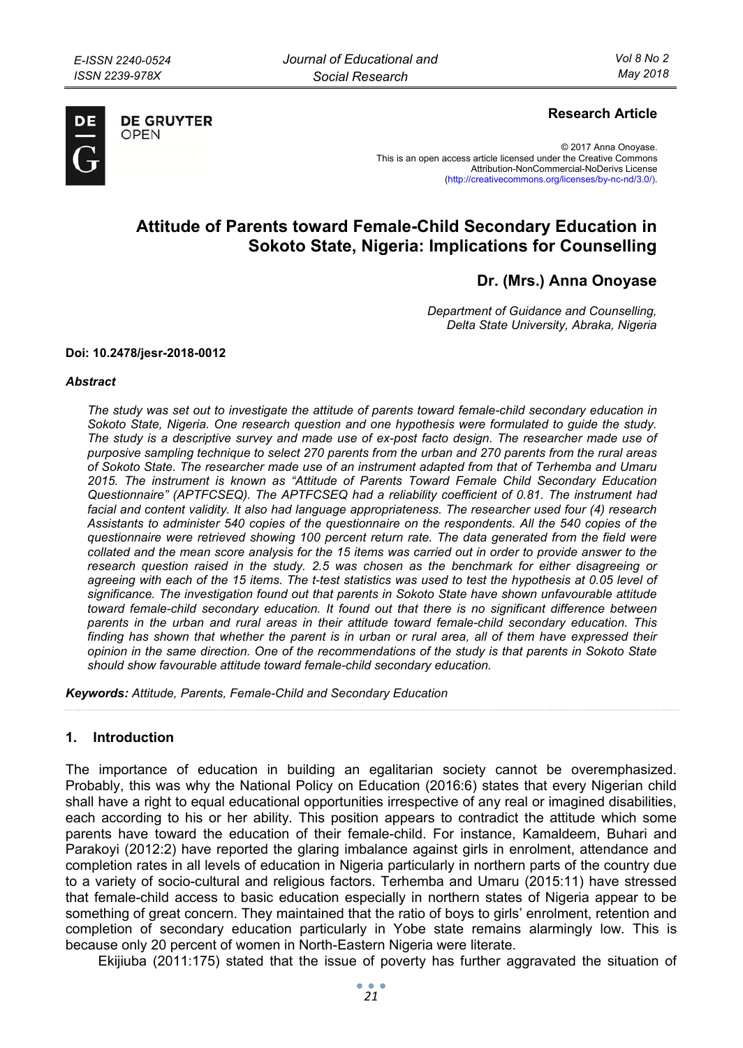

**DE GRUYTER** 

OPFN

# **Research Article**

© 2017 Anna Onoyase. This is an open access article licensed under the Creative Commons Attribution-NonCommercial-NoDerivs License (http://creativecommons.org/licenses/by-nc-nd/3.0/).

# **Attitude of Parents toward Female-Child Secondary Education in Sokoto State, Nigeria: Implications for Counselling**

**Dr. (Mrs.) Anna Onoyase** 

*Department of Guidance and Counselling, Delta State University, Abraka, Nigeria* 

#### **Doi: 10.2478/jesr-2018-0012**

#### *Abstract*

*The study was set out to investigate the attitude of parents toward female-child secondary education in Sokoto State, Nigeria. One research question and one hypothesis were formulated to guide the study. The study is a descriptive survey and made use of ex-post facto design. The researcher made use of purposive sampling technique to select 270 parents from the urban and 270 parents from the rural areas of Sokoto State. The researcher made use of an instrument adapted from that of Terhemba and Umaru 2015. The instrument is known as "Attitude of Parents Toward Female Child Secondary Education Questionnaire" (APTFCSEQ). The APTFCSEQ had a reliability coefficient of 0.81. The instrument had facial and content validity. It also had language appropriateness. The researcher used four (4) research Assistants to administer 540 copies of the questionnaire on the respondents. All the 540 copies of the questionnaire were retrieved showing 100 percent return rate. The data generated from the field were collated and the mean score analysis for the 15 items was carried out in order to provide answer to the research question raised in the study. 2.5 was chosen as the benchmark for either disagreeing or agreeing with each of the 15 items. The t-test statistics was used to test the hypothesis at 0.05 level of significance. The investigation found out that parents in Sokoto State have shown unfavourable attitude toward female-child secondary education. It found out that there is no significant difference between parents in the urban and rural areas in their attitude toward female-child secondary education. This*  finding has shown that whether the parent is in urban or rural area, all of them have expressed their *opinion in the same direction. One of the recommendations of the study is that parents in Sokoto State should show favourable attitude toward female-child secondary education.* 

*Keywords: Attitude, Parents, Female-Child and Secondary Education* 

# **1. Introduction**

The importance of education in building an egalitarian society cannot be overemphasized. Probably, this was why the National Policy on Education (2016:6) states that every Nigerian child shall have a right to equal educational opportunities irrespective of any real or imagined disabilities, each according to his or her ability. This position appears to contradict the attitude which some parents have toward the education of their female-child. For instance, Kamaldeem, Buhari and Parakoyi (2012:2) have reported the glaring imbalance against girls in enrolment, attendance and completion rates in all levels of education in Nigeria particularly in northern parts of the country due to a variety of socio-cultural and religious factors. Terhemba and Umaru (2015:11) have stressed that female-child access to basic education especially in northern states of Nigeria appear to be something of great concern. They maintained that the ratio of boys to girls' enrolment, retention and completion of secondary education particularly in Yobe state remains alarmingly low. This is because only 20 percent of women in North-Eastern Nigeria were literate.

Ekijiuba (2011:175) stated that the issue of poverty has further aggravated the situation of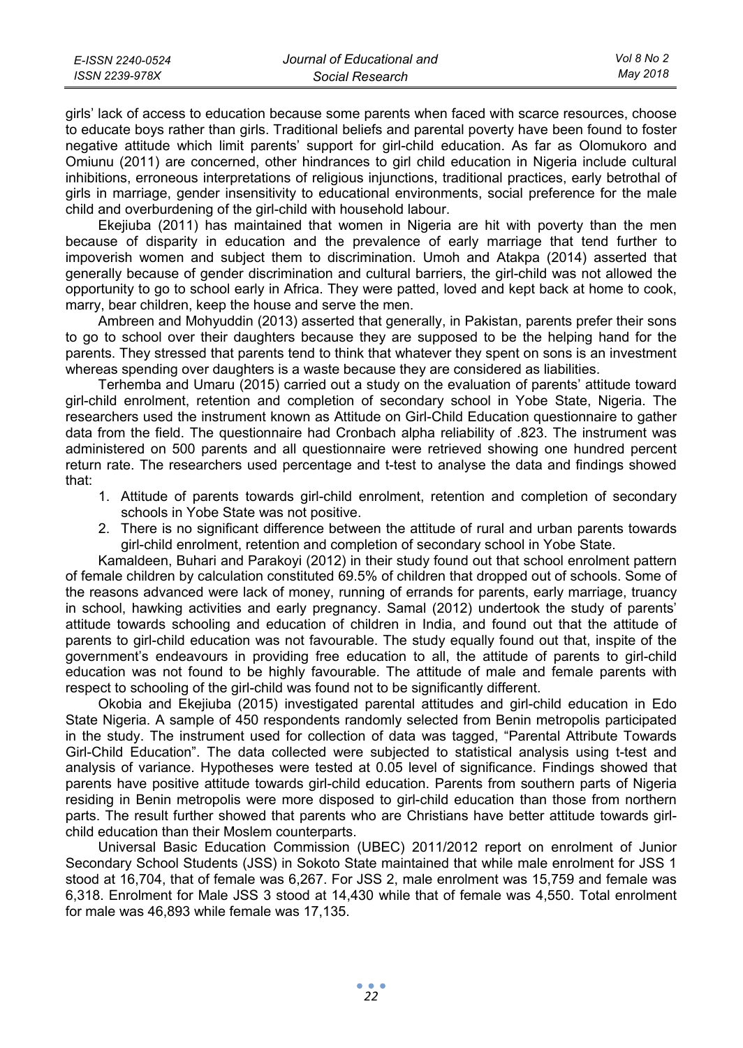| E-ISSN 2240-0524 | Journal of Educational and | Vol 8 No 2 |
|------------------|----------------------------|------------|
| ISSN 2239-978X   | Social Research            | May 2018   |

girls' lack of access to education because some parents when faced with scarce resources, choose to educate boys rather than girls. Traditional beliefs and parental poverty have been found to foster negative attitude which limit parents' support for girl-child education. As far as Olomukoro and Omiunu (2011) are concerned, other hindrances to girl child education in Nigeria include cultural inhibitions, erroneous interpretations of religious injunctions, traditional practices, early betrothal of girls in marriage, gender insensitivity to educational environments, social preference for the male child and overburdening of the girl-child with household labour.

Ekejiuba (2011) has maintained that women in Nigeria are hit with poverty than the men because of disparity in education and the prevalence of early marriage that tend further to impoverish women and subject them to discrimination. Umoh and Atakpa (2014) asserted that generally because of gender discrimination and cultural barriers, the girl-child was not allowed the opportunity to go to school early in Africa. They were patted, loved and kept back at home to cook, marry, bear children, keep the house and serve the men.

Ambreen and Mohyuddin (2013) asserted that generally, in Pakistan, parents prefer their sons to go to school over their daughters because they are supposed to be the helping hand for the parents. They stressed that parents tend to think that whatever they spent on sons is an investment whereas spending over daughters is a waste because they are considered as liabilities.

Terhemba and Umaru (2015) carried out a study on the evaluation of parents' attitude toward girl-child enrolment, retention and completion of secondary school in Yobe State, Nigeria. The researchers used the instrument known as Attitude on Girl-Child Education questionnaire to gather data from the field. The questionnaire had Cronbach alpha reliability of .823. The instrument was administered on 500 parents and all questionnaire were retrieved showing one hundred percent return rate. The researchers used percentage and t-test to analyse the data and findings showed that:

- 1. Attitude of parents towards girl-child enrolment, retention and completion of secondary schools in Yobe State was not positive.
- 2. There is no significant difference between the attitude of rural and urban parents towards girl-child enrolment, retention and completion of secondary school in Yobe State.

Kamaldeen, Buhari and Parakoyi (2012) in their study found out that school enrolment pattern of female children by calculation constituted 69.5% of children that dropped out of schools. Some of the reasons advanced were lack of money, running of errands for parents, early marriage, truancy in school, hawking activities and early pregnancy. Samal (2012) undertook the study of parents' attitude towards schooling and education of children in India, and found out that the attitude of parents to girl-child education was not favourable. The study equally found out that, inspite of the government's endeavours in providing free education to all, the attitude of parents to girl-child education was not found to be highly favourable. The attitude of male and female parents with respect to schooling of the girl-child was found not to be significantly different.

Okobia and Ekejiuba (2015) investigated parental attitudes and girl-child education in Edo State Nigeria. A sample of 450 respondents randomly selected from Benin metropolis participated in the study. The instrument used for collection of data was tagged, "Parental Attribute Towards Girl-Child Education". The data collected were subjected to statistical analysis using t-test and analysis of variance. Hypotheses were tested at 0.05 level of significance. Findings showed that parents have positive attitude towards girl-child education. Parents from southern parts of Nigeria residing in Benin metropolis were more disposed to girl-child education than those from northern parts. The result further showed that parents who are Christians have better attitude towards girlchild education than their Moslem counterparts.

Universal Basic Education Commission (UBEC) 2011/2012 report on enrolment of Junior Secondary School Students (JSS) in Sokoto State maintained that while male enrolment for JSS 1 stood at 16,704, that of female was 6,267. For JSS 2, male enrolment was 15,759 and female was 6,318. Enrolment for Male JSS 3 stood at 14,430 while that of female was 4,550. Total enrolment for male was 46,893 while female was 17,135.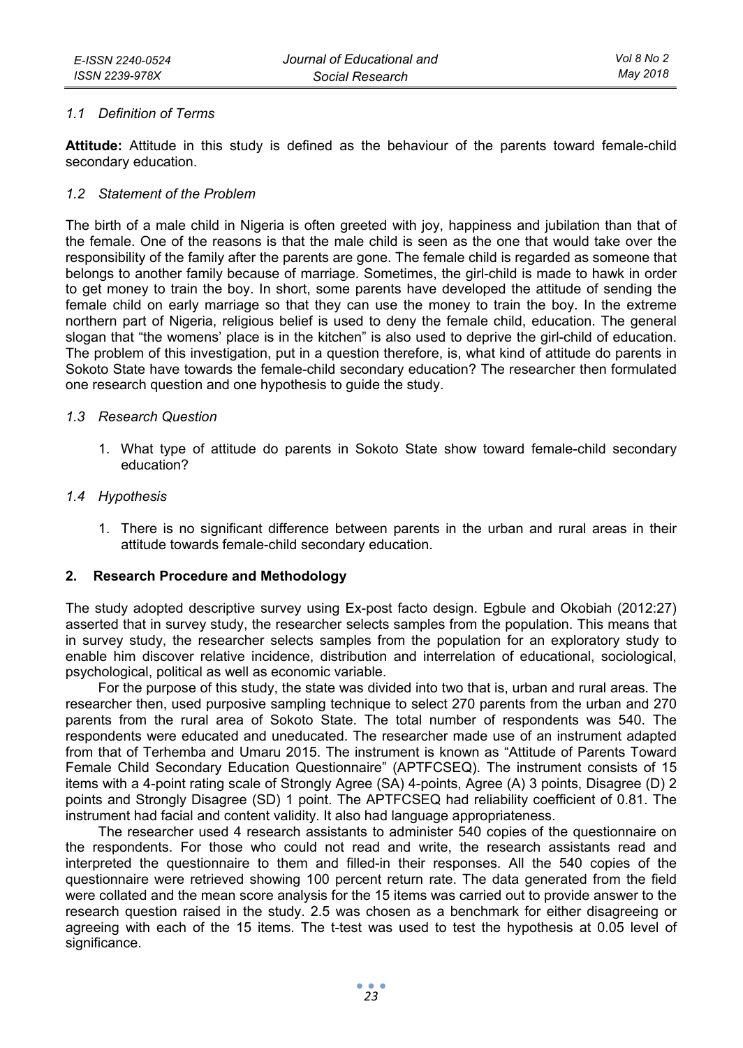#### *1.1 Definition of Terms*

**Attitude:** Attitude in this study is defined as the behaviour of the parents toward female-child secondary education.

#### *1.2 Statement of the Problem*

The birth of a male child in Nigeria is often greeted with joy, happiness and jubilation than that of the female. One of the reasons is that the male child is seen as the one that would take over the responsibility of the family after the parents are gone. The female child is regarded as someone that belongs to another family because of marriage. Sometimes, the girl-child is made to hawk in order to get money to train the boy. In short, some parents have developed the attitude of sending the female child on early marriage so that they can use the money to train the boy. In the extreme northern part of Nigeria, religious belief is used to deny the female child, education. The general slogan that "the womens' place is in the kitchen" is also used to deprive the girl-child of education. The problem of this investigation, put in a question therefore, is, what kind of attitude do parents in Sokoto State have towards the female-child secondary education? The researcher then formulated one research question and one hypothesis to guide the study.

#### *1.3 Research Question*

1. What type of attitude do parents in Sokoto State show toward female-child secondary education?

#### *1.4 Hypothesis*

1. There is no significant difference between parents in the urban and rural areas in their attitude towards female-child secondary education.

# **2. Research Procedure and Methodology**

The study adopted descriptive survey using Ex-post facto design. Egbule and Okobiah (2012:27) asserted that in survey study, the researcher selects samples from the population. This means that in survey study, the researcher selects samples from the population for an exploratory study to enable him discover relative incidence, distribution and interrelation of educational, sociological, psychological, political as well as economic variable.

For the purpose of this study, the state was divided into two that is, urban and rural areas. The researcher then, used purposive sampling technique to select 270 parents from the urban and 270 parents from the rural area of Sokoto State. The total number of respondents was 540. The respondents were educated and uneducated. The researcher made use of an instrument adapted from that of Terhemba and Umaru 2015. The instrument is known as "Attitude of Parents Toward Female Child Secondary Education Questionnaire" (APTFCSEQ). The instrument consists of 15 items with a 4-point rating scale of Strongly Agree (SA) 4-points, Agree (A) 3 points, Disagree (D) 2 points and Strongly Disagree (SD) 1 point. The APTFCSEQ had reliability coefficient of 0.81. The instrument had facial and content validity. It also had language appropriateness.

The researcher used 4 research assistants to administer 540 copies of the questionnaire on the respondents. For those who could not read and write, the research assistants read and interpreted the questionnaire to them and filled-in their responses. All the 540 copies of the questionnaire were retrieved showing 100 percent return rate. The data generated from the field were collated and the mean score analysis for the 15 items was carried out to provide answer to the research question raised in the study. 2.5 was chosen as a benchmark for either disagreeing or agreeing with each of the 15 items. The t-test was used to test the hypothesis at 0.05 level of significance.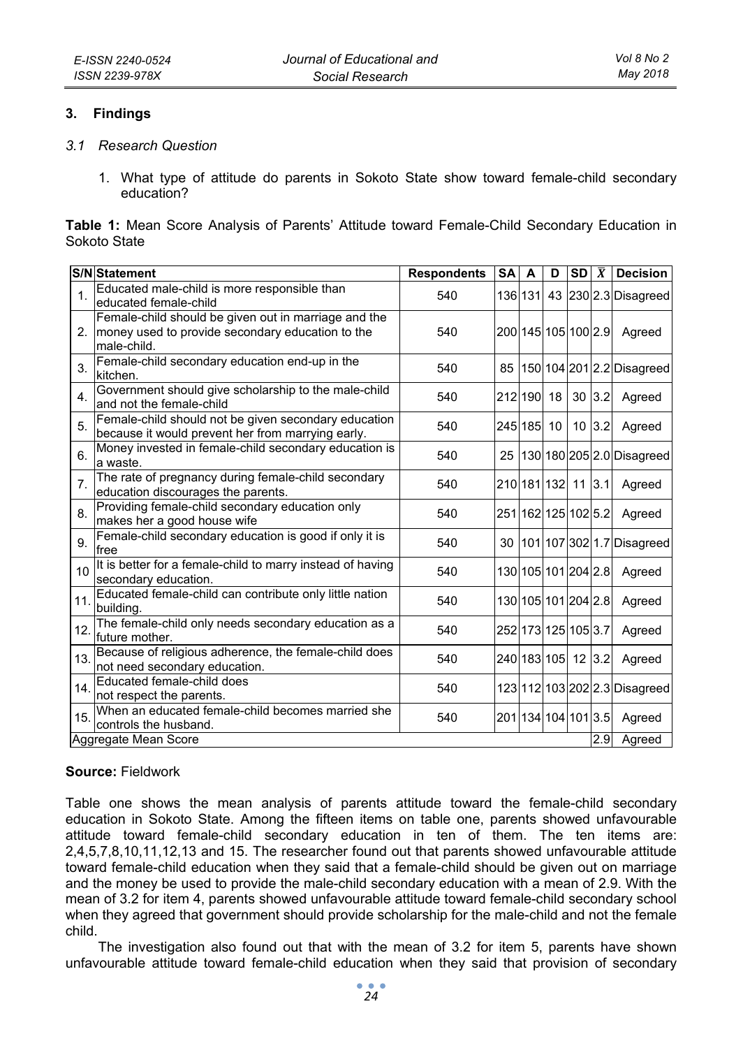#### **3. Findings**

- *3.1 Research Question* 
	- 1. What type of attitude do parents in Sokoto State show toward female-child secondary education?

**Table 1:** Mean Score Analysis of Parents' Attitude toward Female-Child Secondary Education in Sokoto State

|                             | <b>S/N</b> Statement                                                                                                                    | <b>Respondents</b> | <b>SA</b> | A       | D      | <b>SD</b>           | $\overline{X}$ | <b>Decision</b>           |
|-----------------------------|-----------------------------------------------------------------------------------------------------------------------------------------|--------------------|-----------|---------|--------|---------------------|----------------|---------------------------|
| $\mathbf{1}$ .              | Educated male-child is more responsible than<br>educated female-child                                                                   | 540                |           | 136 131 |        |                     |                | 43 230 2.3 Disagreed      |
|                             | Female-child should be given out in marriage and the<br>money used to provide secondary education to the<br>male-child.                 | 540                |           |         |        | 200 145 105 100 2.9 |                | Agreed                    |
| 3.                          | Female-child secondary education end-up in the<br>kitchen.                                                                              | 540                | 85        |         |        |                     |                | 150 104 201 2.2 Disagreed |
| 4.                          | Government should give scholarship to the male-child<br>and not the female-child                                                        | 540                |           | 212 190 | 18     | 30                  | 3.2            | Agreed                    |
| 5.                          | Female-child should not be given secondary education<br>245 185<br>10<br>10<br>540<br>because it would prevent her from marrying early. |                    | 3.2       | Agreed  |        |                     |                |                           |
| 6.                          | Money invested in female-child secondary education is<br>a waste.                                                                       | 540                | 25        |         |        |                     |                | 130 180 205 2.0 Disagreed |
| $\overline{7}$ .            | The rate of pregnancy during female-child secondary<br>education discourages the parents.                                               | 540                |           |         |        | 210 181 132 11 3.1  |                | Agreed                    |
| 8.                          | Providing female-child secondary education only<br>makes her a good house wife                                                          | 540                |           |         |        | 251 162 125 102 5.2 |                | Agreed                    |
| 9.                          | Female-child secondary education is good if only it is<br>free                                                                          | 540                | 30        |         |        |                     |                | 101 107 302 1.7 Disagreed |
| 10                          | It is better for a female-child to marry instead of having<br>secondary education.                                                      | 540                |           |         |        | 130 105 101 204 2.8 |                | Agreed                    |
| 11.                         | Educated female-child can contribute only little nation<br>building.                                                                    | 540                |           |         |        | 130 105 101 204 2.8 |                | Agreed                    |
| 12.                         | The female-child only needs secondary education as a<br>future mother.                                                                  | 540                |           |         |        | 252 173 125 105 3.7 |                | Agreed                    |
| 13.                         | Because of religious adherence, the female-child does<br>not need secondary education.                                                  | 540                |           |         |        | 240 183 105 12 3.2  |                | Agreed                    |
| 14                          | Educated female-child does<br>not respect the parents.                                                                                  | 540                |           |         |        |                     |                | 1231121032022.3Disagreed  |
| 15.                         | When an educated female-child becomes married she<br>controls the husband.                                                              | 540                |           |         |        | 201 134 104 101 3.5 |                | Agreed                    |
| 2.9<br>Aggregate Mean Score |                                                                                                                                         |                    |           |         | Agreed |                     |                |                           |

# **Source:** Fieldwork

Table one shows the mean analysis of parents attitude toward the female-child secondary education in Sokoto State. Among the fifteen items on table one, parents showed unfavourable attitude toward female-child secondary education in ten of them. The ten items are: 2,4,5,7,8,10,11,12,13 and 15. The researcher found out that parents showed unfavourable attitude toward female-child education when they said that a female-child should be given out on marriage and the money be used to provide the male-child secondary education with a mean of 2.9. With the mean of 3.2 for item 4, parents showed unfavourable attitude toward female-child secondary school when they agreed that government should provide scholarship for the male-child and not the female child.

The investigation also found out that with the mean of 3.2 for item 5, parents have shown unfavourable attitude toward female-child education when they said that provision of secondary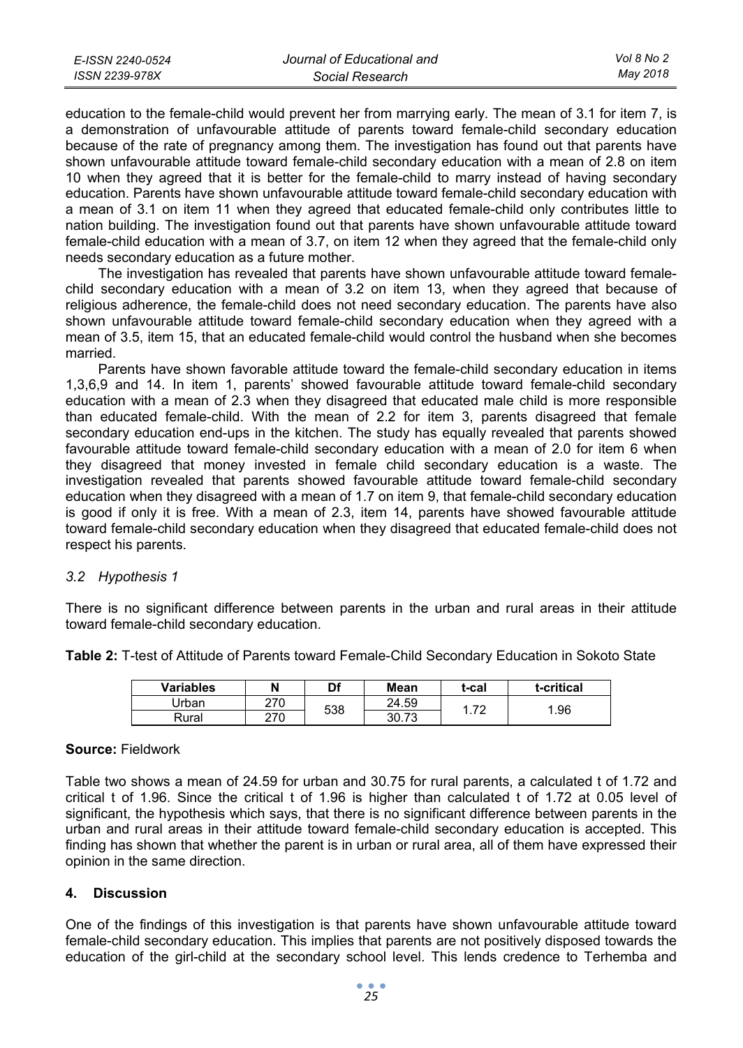| E-ISSN 2240-0524 | Journal of Educational and | Vol 8 No 2 |
|------------------|----------------------------|------------|
| ISSN 2239-978X   | Social Research            | May 2018   |

education to the female-child would prevent her from marrying early. The mean of 3.1 for item 7, is a demonstration of unfavourable attitude of parents toward female-child secondary education because of the rate of pregnancy among them. The investigation has found out that parents have shown unfavourable attitude toward female-child secondary education with a mean of 2.8 on item 10 when they agreed that it is better for the female-child to marry instead of having secondary education. Parents have shown unfavourable attitude toward female-child secondary education with a mean of 3.1 on item 11 when they agreed that educated female-child only contributes little to nation building. The investigation found out that parents have shown unfavourable attitude toward female-child education with a mean of 3.7, on item 12 when they agreed that the female-child only needs secondary education as a future mother.

The investigation has revealed that parents have shown unfavourable attitude toward femalechild secondary education with a mean of 3.2 on item 13, when they agreed that because of religious adherence, the female-child does not need secondary education. The parents have also shown unfavourable attitude toward female-child secondary education when they agreed with a mean of 3.5, item 15, that an educated female-child would control the husband when she becomes married.

Parents have shown favorable attitude toward the female-child secondary education in items 1,3,6,9 and 14. In item 1, parents' showed favourable attitude toward female-child secondary education with a mean of 2.3 when they disagreed that educated male child is more responsible than educated female-child. With the mean of 2.2 for item 3, parents disagreed that female secondary education end-ups in the kitchen. The study has equally revealed that parents showed favourable attitude toward female-child secondary education with a mean of 2.0 for item 6 when they disagreed that money invested in female child secondary education is a waste. The investigation revealed that parents showed favourable attitude toward female-child secondary education when they disagreed with a mean of 1.7 on item 9, that female-child secondary education is good if only it is free. With a mean of 2.3, item 14, parents have showed favourable attitude toward female-child secondary education when they disagreed that educated female-child does not respect his parents.

# *3.2 Hypothesis 1*

There is no significant difference between parents in the urban and rural areas in their attitude toward female-child secondary education.

| <b>Variables</b> |     | Df  | Mean  | t-cal | t-critical |
|------------------|-----|-----|-------|-------|------------|
| Jrban            | 270 | 538 | 24.59 | 70    | .96        |
| Rural            | 270 |     | 30.73 |       |            |

**Table 2:** T-test of Attitude of Parents toward Female-Child Secondary Education in Sokoto State

#### **Source:** Fieldwork

Table two shows a mean of 24.59 for urban and 30.75 for rural parents, a calculated t of 1.72 and critical t of 1.96. Since the critical t of 1.96 is higher than calculated t of 1.72 at 0.05 level of significant, the hypothesis which says, that there is no significant difference between parents in the urban and rural areas in their attitude toward female-child secondary education is accepted. This finding has shown that whether the parent is in urban or rural area, all of them have expressed their opinion in the same direction.

# **4. Discussion**

One of the findings of this investigation is that parents have shown unfavourable attitude toward female-child secondary education. This implies that parents are not positively disposed towards the education of the girl-child at the secondary school level. This lends credence to Terhemba and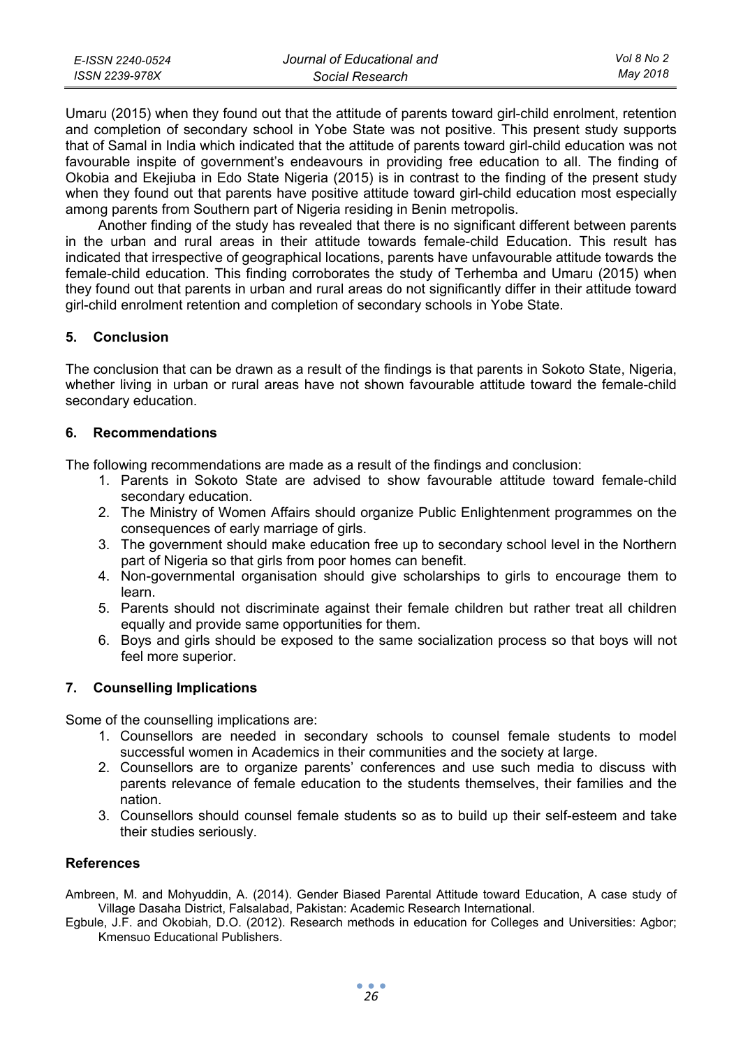| E-ISSN 2240-0524 | Journal of Educational and | Vol 8 No 2 |
|------------------|----------------------------|------------|
| ISSN 2239-978X   | Social Research            | Mav 2018   |

Umaru (2015) when they found out that the attitude of parents toward girl-child enrolment, retention and completion of secondary school in Yobe State was not positive. This present study supports that of Samal in India which indicated that the attitude of parents toward girl-child education was not favourable inspite of government's endeavours in providing free education to all. The finding of Okobia and Ekejiuba in Edo State Nigeria (2015) is in contrast to the finding of the present study when they found out that parents have positive attitude toward girl-child education most especially among parents from Southern part of Nigeria residing in Benin metropolis.

Another finding of the study has revealed that there is no significant different between parents in the urban and rural areas in their attitude towards female-child Education. This result has indicated that irrespective of geographical locations, parents have unfavourable attitude towards the female-child education. This finding corroborates the study of Terhemba and Umaru (2015) when they found out that parents in urban and rural areas do not significantly differ in their attitude toward girl-child enrolment retention and completion of secondary schools in Yobe State.

# **5. Conclusion**

The conclusion that can be drawn as a result of the findings is that parents in Sokoto State, Nigeria, whether living in urban or rural areas have not shown favourable attitude toward the female-child secondary education.

#### **6. Recommendations**

The following recommendations are made as a result of the findings and conclusion:

- 1. Parents in Sokoto State are advised to show favourable attitude toward female-child secondary education.
- 2. The Ministry of Women Affairs should organize Public Enlightenment programmes on the consequences of early marriage of girls.
- 3. The government should make education free up to secondary school level in the Northern part of Nigeria so that girls from poor homes can benefit.
- 4. Non-governmental organisation should give scholarships to girls to encourage them to learn.
- 5. Parents should not discriminate against their female children but rather treat all children equally and provide same opportunities for them.
- 6. Boys and girls should be exposed to the same socialization process so that boys will not feel more superior.

# **7. Counselling Implications**

Some of the counselling implications are:

- 1. Counsellors are needed in secondary schools to counsel female students to model successful women in Academics in their communities and the society at large.
- 2. Counsellors are to organize parents' conferences and use such media to discuss with parents relevance of female education to the students themselves, their families and the nation.
- 3. Counsellors should counsel female students so as to build up their self-esteem and take their studies seriously.

#### **References**

Ambreen, M. and Mohyuddin, A. (2014). Gender Biased Parental Attitude toward Education, A case study of Village Dasaha District, Falsalabad, Pakistan: Academic Research International.

Egbule, J.F. and Okobiah, D.O. (2012). Research methods in education for Colleges and Universities: Agbor; Kmensuo Educational Publishers.